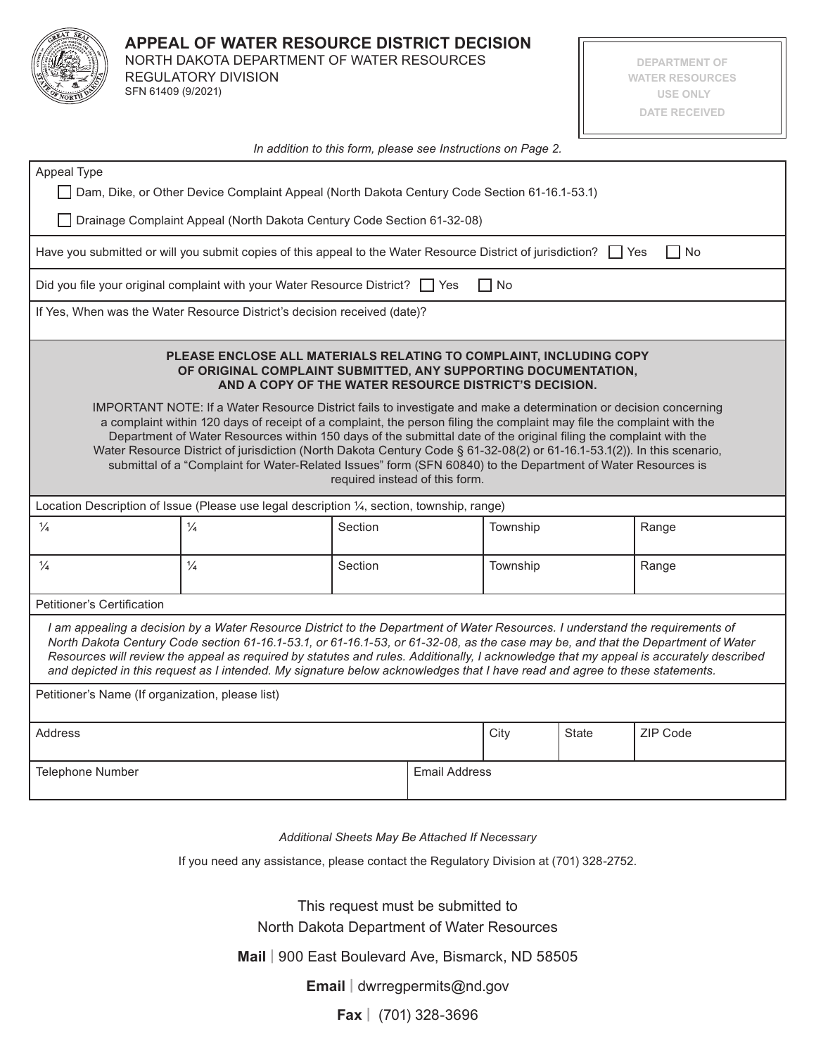

## **APPEAL OF WATER RESOURCE DISTRICT DECISION**

NORTH DAKOTA DEPARTMENT OF WATER RESOURCES REGULATORY DIVISION SFN 61409 (9/2021)

**DEPARTMENT OF WATER RESOURCES USE ONLY DATE RECEIVED**

| In addition to this form, please see Instructions on Page 2.                                                                                                                                                                                                                                                                                                                                                                                                                                                                                                                                                                                                                                                                                                                                                                                   |               |         |                      |          |              |          |
|------------------------------------------------------------------------------------------------------------------------------------------------------------------------------------------------------------------------------------------------------------------------------------------------------------------------------------------------------------------------------------------------------------------------------------------------------------------------------------------------------------------------------------------------------------------------------------------------------------------------------------------------------------------------------------------------------------------------------------------------------------------------------------------------------------------------------------------------|---------------|---------|----------------------|----------|--------------|----------|
| Appeal Type                                                                                                                                                                                                                                                                                                                                                                                                                                                                                                                                                                                                                                                                                                                                                                                                                                    |               |         |                      |          |              |          |
| Dam, Dike, or Other Device Complaint Appeal (North Dakota Century Code Section 61-16.1-53.1)                                                                                                                                                                                                                                                                                                                                                                                                                                                                                                                                                                                                                                                                                                                                                   |               |         |                      |          |              |          |
| Drainage Complaint Appeal (North Dakota Century Code Section 61-32-08)                                                                                                                                                                                                                                                                                                                                                                                                                                                                                                                                                                                                                                                                                                                                                                         |               |         |                      |          |              |          |
| Have you submitted or will you submit copies of this appeal to the Water Resource District of jurisdiction?<br>I I Yes<br>l INo                                                                                                                                                                                                                                                                                                                                                                                                                                                                                                                                                                                                                                                                                                                |               |         |                      |          |              |          |
| Did you file your original complaint with your Water Resource District? $\Box$ Yes<br>l No                                                                                                                                                                                                                                                                                                                                                                                                                                                                                                                                                                                                                                                                                                                                                     |               |         |                      |          |              |          |
| If Yes, When was the Water Resource District's decision received (date)?                                                                                                                                                                                                                                                                                                                                                                                                                                                                                                                                                                                                                                                                                                                                                                       |               |         |                      |          |              |          |
| PLEASE ENCLOSE ALL MATERIALS RELATING TO COMPLAINT, INCLUDING COPY<br>OF ORIGINAL COMPLAINT SUBMITTED, ANY SUPPORTING DOCUMENTATION,<br>AND A COPY OF THE WATER RESOURCE DISTRICT'S DECISION.<br>IMPORTANT NOTE: If a Water Resource District fails to investigate and make a determination or decision concerning<br>a complaint within 120 days of receipt of a complaint, the person filing the complaint may file the complaint with the<br>Department of Water Resources within 150 days of the submittal date of the original filing the complaint with the<br>Water Resource District of jurisdiction (North Dakota Century Code § 61-32-08(2) or 61-16.1-53.1(2)). In this scenario,<br>submittal of a "Complaint for Water-Related Issues" form (SFN 60840) to the Department of Water Resources is<br>required instead of this form. |               |         |                      |          |              |          |
| Location Description of Issue (Please use legal description 1/4, section, township, range)                                                                                                                                                                                                                                                                                                                                                                                                                                                                                                                                                                                                                                                                                                                                                     |               |         |                      |          |              |          |
| $\frac{1}{4}$                                                                                                                                                                                                                                                                                                                                                                                                                                                                                                                                                                                                                                                                                                                                                                                                                                  | $\frac{1}{4}$ | Section |                      | Township |              | Range    |
| $\frac{1}{4}$                                                                                                                                                                                                                                                                                                                                                                                                                                                                                                                                                                                                                                                                                                                                                                                                                                  | $\frac{1}{4}$ | Section |                      | Township |              | Range    |
| Petitioner's Certification                                                                                                                                                                                                                                                                                                                                                                                                                                                                                                                                                                                                                                                                                                                                                                                                                     |               |         |                      |          |              |          |
| I am appealing a decision by a Water Resource District to the Department of Water Resources. I understand the requirements of<br>North Dakota Century Code section 61-16.1-53.1, or 61-16.1-53, or 61-32-08, as the case may be, and that the Department of Water<br>Resources will review the appeal as required by statutes and rules. Additionally, I acknowledge that my appeal is accurately described<br>and depicted in this request as I intended. My signature below acknowledges that I have read and agree to these statements.                                                                                                                                                                                                                                                                                                     |               |         |                      |          |              |          |
| Petitioner's Name (If organization, please list)                                                                                                                                                                                                                                                                                                                                                                                                                                                                                                                                                                                                                                                                                                                                                                                               |               |         |                      |          |              |          |
| Address                                                                                                                                                                                                                                                                                                                                                                                                                                                                                                                                                                                                                                                                                                                                                                                                                                        |               |         |                      | City     | <b>State</b> | ZIP Code |
| Telephone Number                                                                                                                                                                                                                                                                                                                                                                                                                                                                                                                                                                                                                                                                                                                                                                                                                               |               |         | <b>Email Address</b> |          |              |          |

*Additional Sheets May Be Attached If Necessary*

If you need any assistance, please contact the Regulatory Division at (701) 328-2752.

This request must be submitted to North Dakota Department of Water Resources

**Mail |** 900 East Boulevard Ave, Bismarck, ND 58505

**Email |** dwrregpermits@nd.gov

**Fax |** (701) 328-3696